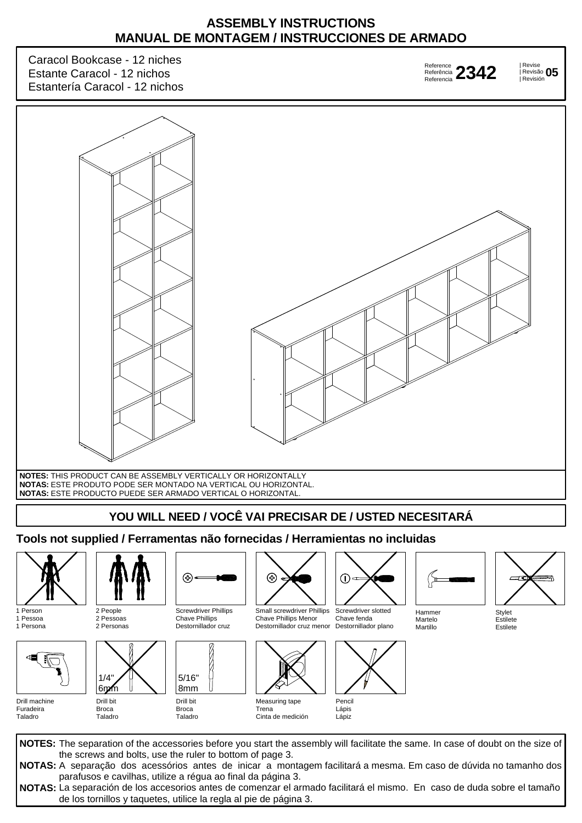## **ASSEMBLY INSTRUCTIONS MANUAL DE MONTAGEM / INSTRUCCIONES DE ARMADO**

Caracol Bookcase - 12 niches Estante Caracol - 12 nichos Estantería Caracol - 12 nichos

| Revise | Revisão **2342 <sup>05</sup>** Reference Referência 2342 Referencia

Revisión



## **Tools not supplied / Ferramentas não fornecidas / Herramientas no incluidas**



1 Person 1 Pessoa 1 Persona



Drill machine Furadeira Taladro



2 People 2 Pessoas 2 Personas



Taladro



Drill bit Broca Taladro

8mm

Ŷ,

Broca



Small screwdriver Phillips Chave Phillips Menor Destornillador cruz menor



Cinta de medición



Screwdriver slotted Chave fenda Destornillador plano



Lápiz



Martillo



Estilete Estilete

**NOTES:** The separation of the accessories before you start the assembly will facilitate the same. In case of doubt on the size of **NOTAS:** A separação dos acessórios antes de inicar a montagem facilitará a mesma. Em caso de dúvida no tamanho dos **NOTAS:** La separación de los accesorios antes de comenzar el armado facilitará el mismo. En caso de duda sobre el tamaño the screws and bolts, use the ruler to bottom of page 3. parafusos e cavilhas, utilize a régua ao final da página 3. de los tornillos y taquetes, utilice la regla al pie de página 3.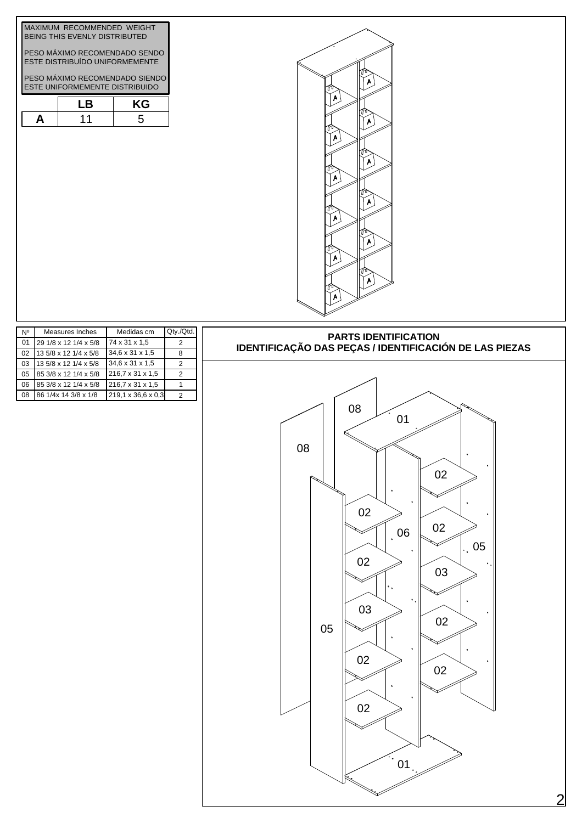|                                                                 | MAXIMUM RECOMMENDED WEIGHT     |    |  |  |  |  |
|-----------------------------------------------------------------|--------------------------------|----|--|--|--|--|
|                                                                 |                                |    |  |  |  |  |
|                                                                 |                                |    |  |  |  |  |
| PESO MÁXIMO RECOMENDADO SENDO<br>ESTE DISTRIBUÍDO UNIFORMEMENTE |                                |    |  |  |  |  |
|                                                                 |                                |    |  |  |  |  |
|                                                                 | PESO MÁXIMO RECOMENDADO SIENDO |    |  |  |  |  |
|                                                                 | ESTE UNIFORMEMENTE DISTRIBUIDO |    |  |  |  |  |
|                                                                 | I B                            | KG |  |  |  |  |
|                                                                 | 11                             |    |  |  |  |  |





| N٥ | Measures Inches       | Medidas cm         | $Qty$ ./ $Qtd.$ |
|----|-----------------------|--------------------|-----------------|
| 01 | 29 1/8 x 12 1/4 x 5/8 | 74 x 31 x 1,5      | 2               |
| 02 | 13 5/8 x 12 1/4 x 5/8 | 34,6 x 31 x 1.5    | 8               |
| 03 | 13 5/8 x 12 1/4 x 5/8 | 34,6 x 31 x 1,5    | 2               |
| 05 | 85 3/8 x 12 1/4 x 5/8 | 216,7 x 31 x 1,5   | 2               |
| 06 | 85 3/8 x 12 1/4 x 5/8 | 216,7 x 31 x 1,5   |                 |
| 08 | 86 1/4x 14 3/8 x 1/8  | 219.1 x 36.6 x 0.3 | 2               |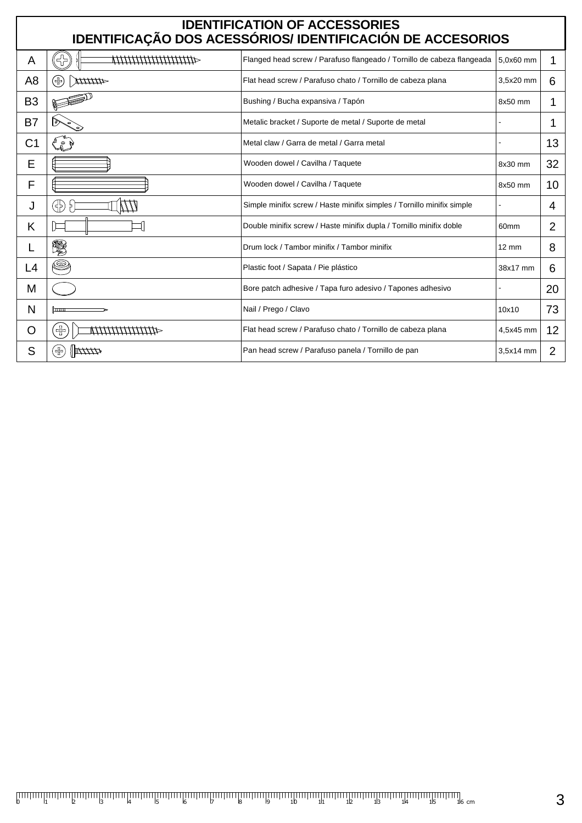| <b>IDENTIFICATION OF ACCESSORIES</b><br>IDENTIFICAÇÃO DOS ACESSÓRIOS/ IDENTIFICACIÓN DE ACCESORIOS |                                                                                                                         |                                                                        |                  |                 |  |  |  |  |
|----------------------------------------------------------------------------------------------------|-------------------------------------------------------------------------------------------------------------------------|------------------------------------------------------------------------|------------------|-----------------|--|--|--|--|
| A                                                                                                  | $\begin{aligned} \text{Tr} \mathcal{L}_{\text{tot}}^{\text{max}} \geq \text{Tr} \end{aligned}$<br>411111111111111111111 | Flanged head screw / Parafuso flangeado / Tornillo de cabeza flangeada | 5.0x60 mm        | 1               |  |  |  |  |
| A8                                                                                                 | (品)<br><b>AULTITA</b>                                                                                                   | Flat head screw / Parafuso chato / Tornillo de cabeza plana            | 3,5x20 mm        | 6               |  |  |  |  |
| B <sub>3</sub>                                                                                     |                                                                                                                         | Bushing / Bucha expansiva / Tapón                                      | 8x50 mm          | 1               |  |  |  |  |
| B7                                                                                                 |                                                                                                                         | Metalic bracket / Suporte de metal / Suporte de metal                  |                  | 1               |  |  |  |  |
| C1                                                                                                 | L                                                                                                                       | Metal claw / Garra de metal / Garra metal                              |                  | 13              |  |  |  |  |
| E                                                                                                  |                                                                                                                         | Wooden dowel / Cavilha / Taquete                                       | 8x30 mm          | 32              |  |  |  |  |
| F                                                                                                  |                                                                                                                         | Wooden dowel / Cavilha / Taquete                                       | 8x50 mm          | 10              |  |  |  |  |
| J                                                                                                  |                                                                                                                         | Simple minifix screw / Haste minifix simples / Tornillo minifix simple |                  | 4               |  |  |  |  |
| Κ                                                                                                  |                                                                                                                         | Double minifix screw / Haste minifix dupla / Tornillo minifix doble    | 60 <sub>mm</sub> | 2               |  |  |  |  |
|                                                                                                    | V.                                                                                                                      | Drum lock / Tambor minifix / Tambor minifix                            | $12 \text{ mm}$  | 8               |  |  |  |  |
| L4                                                                                                 | Q                                                                                                                       | Plastic foot / Sapata / Pie plástico                                   | 38x17 mm         | 6               |  |  |  |  |
| М                                                                                                  |                                                                                                                         | Bore patch adhesive / Tapa furo adesivo / Tapones adhesivo             |                  | 20              |  |  |  |  |
| N                                                                                                  | سستا                                                                                                                    | Nail / Prego / Clavo                                                   | 10x10            | 73              |  |  |  |  |
| Ő                                                                                                  | $\left(\frac{1}{2}\right)$                                                                                              | Flat head screw / Parafuso chato / Tornillo de cabeza plana            | 4,5x45 mm        | 12 <sup>2</sup> |  |  |  |  |
| S                                                                                                  | $\mathbb{Z}/\mathbb{Z}/\mathbb{Z}$<br>╬                                                                                 | Pan head screw / Parafuso panela / Tornillo de pan                     | 3,5x14 mm        | 2               |  |  |  |  |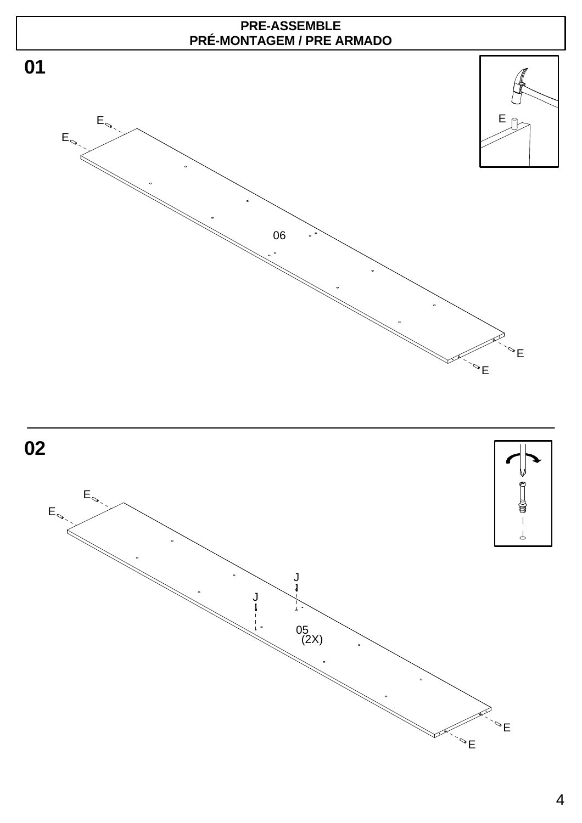

4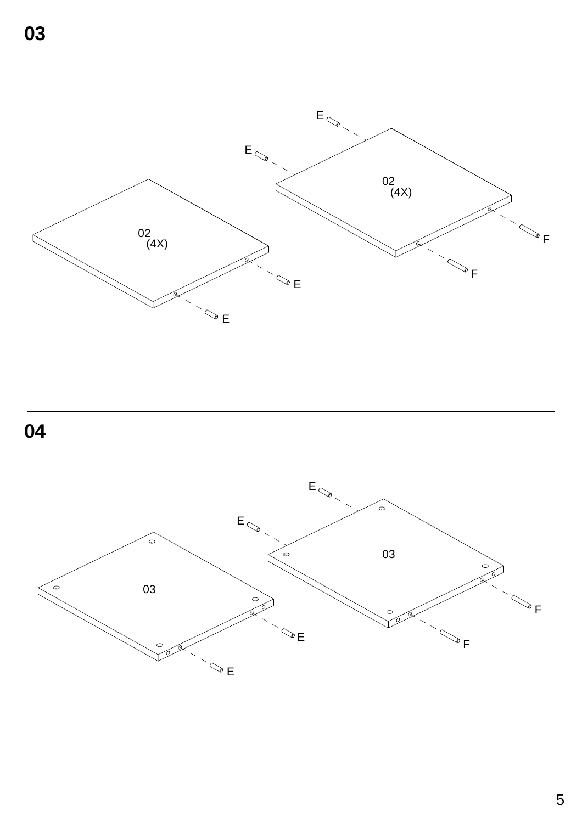



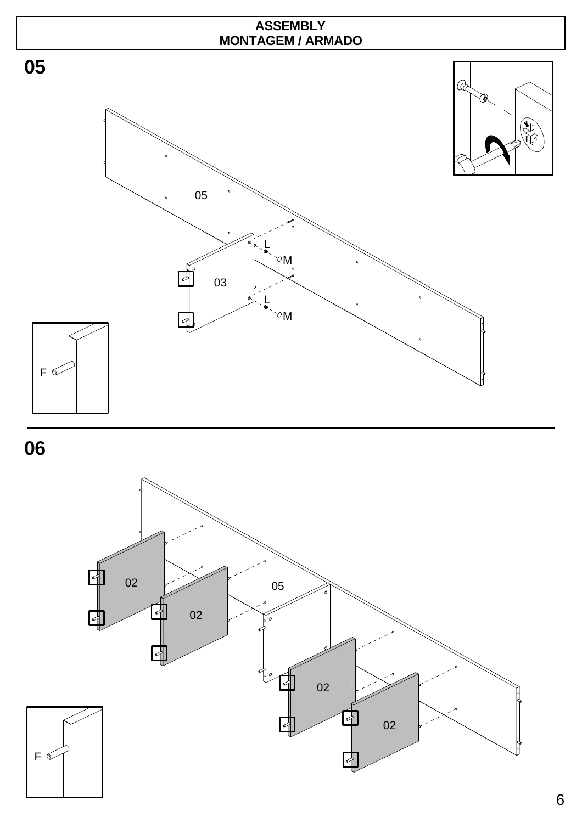





**06**

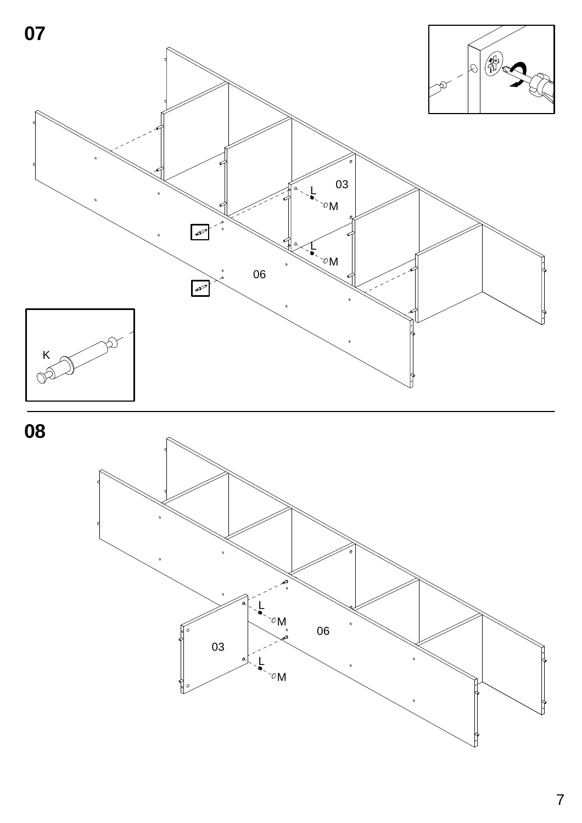



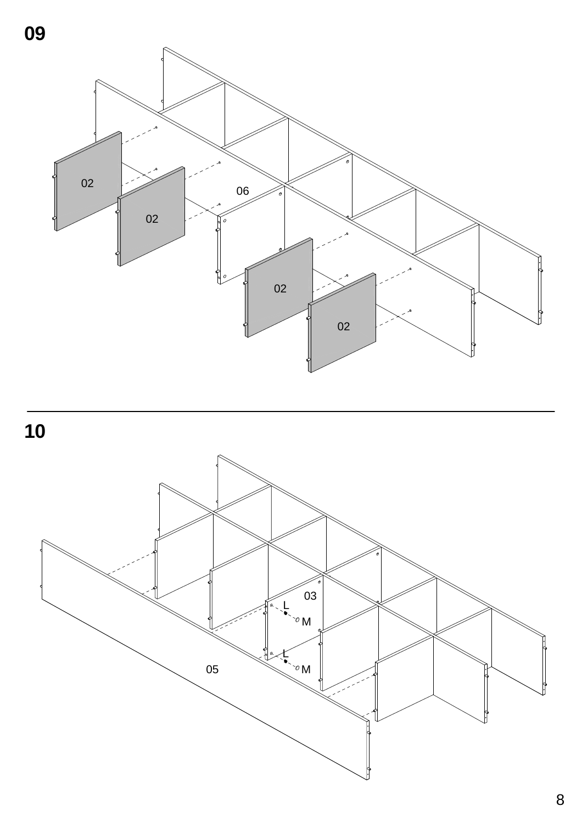



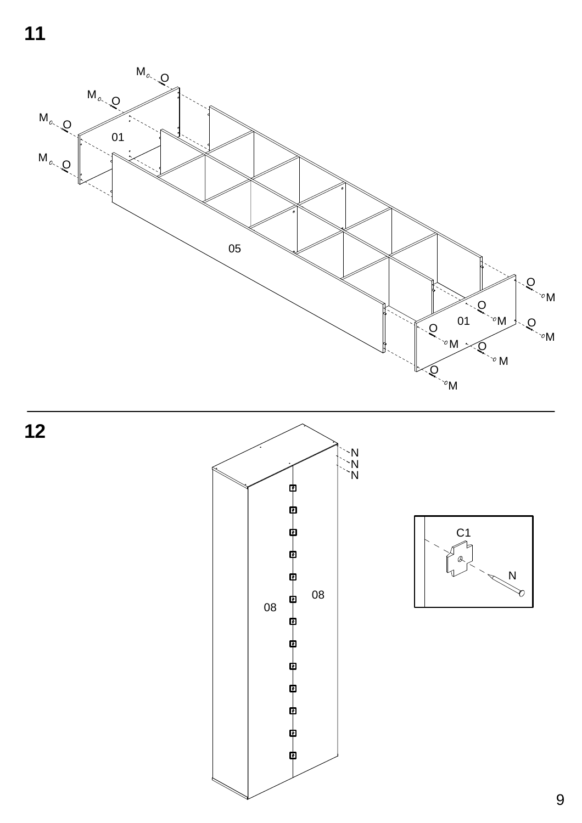**11**







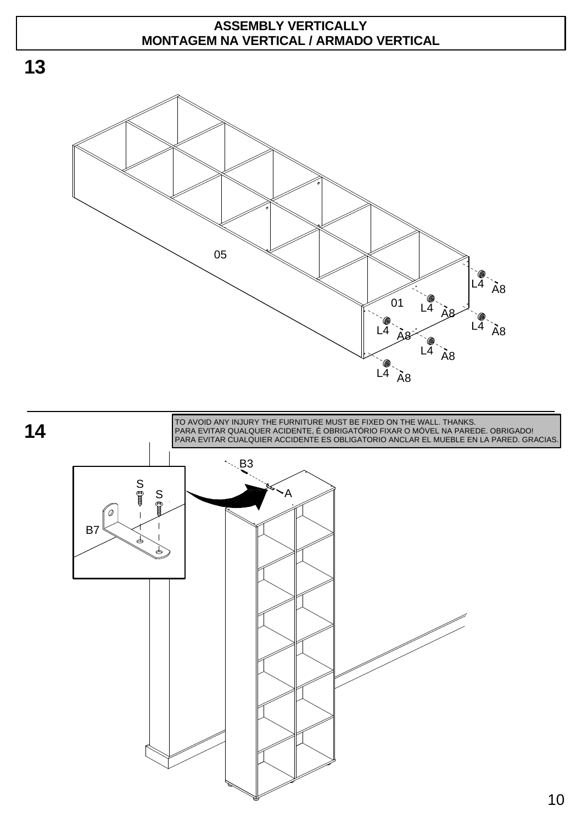## **ASSEMBLY VERTICALLY MONTAGEM NA VERTICAL / ARMADO VERTICAL**